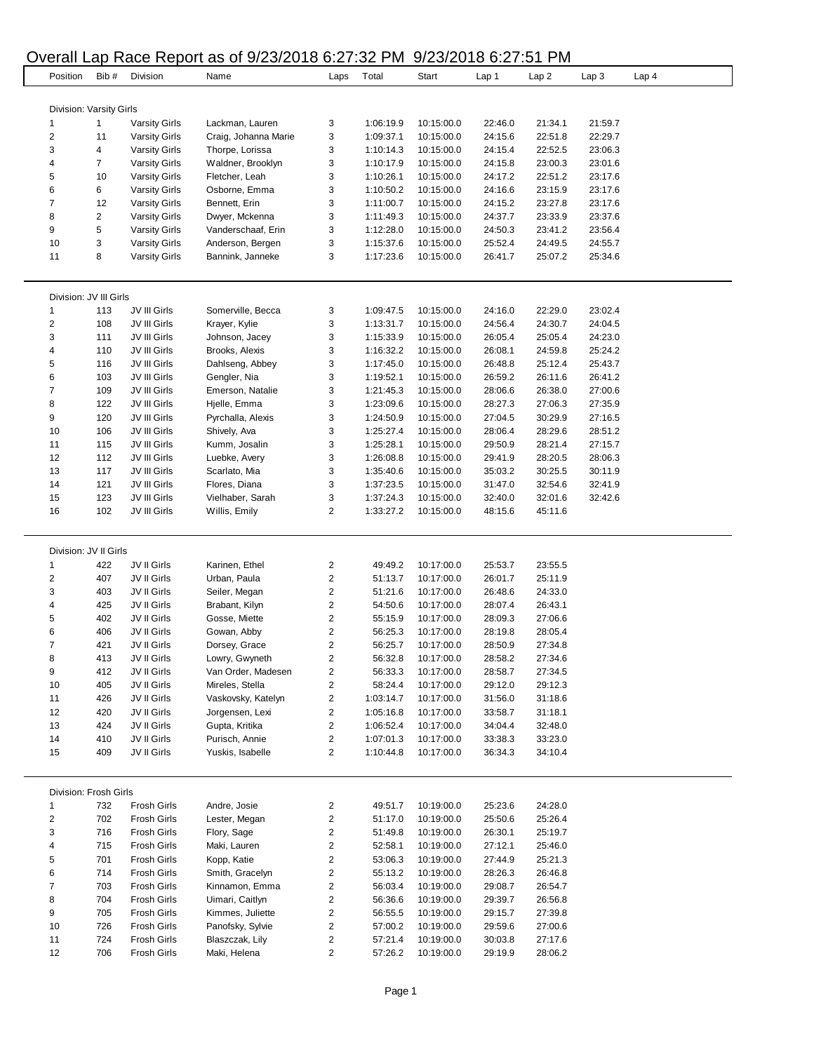#### Overall Lap Race Report as of 9/23/2018 6:27:32 PM 9/23/2018 6:27:51 PM

| Position                     | Bib#                         | Division                                     | Name                          | Laps                    | Total                  | Start                    | Lap 1              | Lap2               | Lap 3              | Lap <sub>4</sub> |
|------------------------------|------------------------------|----------------------------------------------|-------------------------------|-------------------------|------------------------|--------------------------|--------------------|--------------------|--------------------|------------------|
|                              |                              |                                              |                               |                         |                        |                          |                    |                    |                    |                  |
|                              |                              |                                              |                               |                         |                        |                          |                    |                    |                    |                  |
|                              | Division: Varsity Girls<br>1 |                                              | Lackman, Lauren               | 3                       | 1:06:19.9              | 10:15:00.0               | 22:46.0            | 21:34.1            | 21:59.7            |                  |
| 1<br>$\overline{\mathbf{c}}$ | 11                           | <b>Varsity Girls</b><br><b>Varsity Girls</b> | Craig, Johanna Marie          | 3                       | 1:09:37.1              | 10:15:00.0               | 24:15.6            | 22:51.8            | 22:29.7            |                  |
| 3                            | 4                            | <b>Varsity Girls</b>                         | Thorpe, Lorissa               | 3                       | 1:10:14.3              | 10:15:00.0               | 24:15.4            | 22:52.5            | 23:06.3            |                  |
| 4                            | $\overline{7}$               | <b>Varsity Girls</b>                         | Waldner, Brooklyn             | 3                       | 1:10:17.9              | 10:15:00.0               | 24:15.8            | 23:00.3            | 23:01.6            |                  |
| 5                            | 10                           | <b>Varsity Girls</b>                         | Fletcher, Leah                | 3                       | 1:10:26.1              | 10:15:00.0               | 24:17.2            | 22:51.2            | 23:17.6            |                  |
| 6                            | 6                            | <b>Varsity Girls</b>                         | Osborne, Emma                 | 3                       | 1:10:50.2              | 10:15:00.0               | 24:16.6            | 23:15.9            | 23:17.6            |                  |
| 7                            | 12                           | <b>Varsity Girls</b>                         | Bennett, Erin                 | 3                       | 1:11:00.7              | 10:15:00.0               | 24:15.2            | 23:27.8            | 23:17.6            |                  |
| 8                            | 2                            | <b>Varsity Girls</b>                         | Dwyer, Mckenna                | 3                       | 1:11:49.3              | 10:15:00.0               | 24:37.7            | 23:33.9            | 23:37.6            |                  |
| 9                            | 5                            | <b>Varsity Girls</b>                         | Vanderschaaf, Erin            | 3                       | 1:12:28.0              | 10:15:00.0               | 24:50.3            | 23:41.2            | 23:56.4            |                  |
| 10                           | 3                            | <b>Varsity Girls</b>                         | Anderson, Bergen              | 3                       | 1:15:37.6              | 10:15:00.0               | 25:52.4            | 24:49.5            | 24:55.7            |                  |
| 11                           | 8                            | <b>Varsity Girls</b>                         | Bannink, Janneke              | 3                       | 1:17:23.6              | 10:15:00.0               | 26:41.7            | 25:07.2            | 25:34.6            |                  |
|                              |                              |                                              |                               |                         |                        |                          |                    |                    |                    |                  |
|                              |                              |                                              |                               |                         |                        |                          |                    |                    |                    |                  |
|                              | Division: JV III Girls       |                                              |                               |                         |                        |                          |                    |                    |                    |                  |
| 1                            | 113                          | JV III Girls                                 | Somerville, Becca             | 3                       | 1:09:47.5              | 10:15:00.0               | 24:16.0            | 22:29.0            | 23:02.4            |                  |
| 2                            | 108                          | JV III Girls                                 | Krayer, Kylie                 | 3                       | 1:13:31.7              | 10:15:00.0               | 24:56.4            | 24:30.7            | 24:04.5            |                  |
| 3                            | 111                          | JV III Girls                                 | Johnson, Jacey                | 3                       | 1:15:33.9              | 10:15:00.0               | 26:05.4            | 25:05.4            | 24:23.0            |                  |
| 4                            | 110                          | JV III Girls                                 | Brooks, Alexis                | 3                       | 1:16:32.2              | 10:15:00.0               | 26:08.1            | 24:59.8            | 25:24.2            |                  |
| 5                            | 116                          | JV III Girls                                 | Dahlseng, Abbey               | 3                       | 1:17:45.0              | 10:15:00.0               | 26:48.8            | 25:12.4            | 25:43.7            |                  |
| 6                            | 103                          | JV III Girls                                 | Gengler, Nia                  | 3                       | 1:19:52.1              | 10:15:00.0               | 26:59.2            | 26:11.6            | 26:41.2            |                  |
| 7                            | 109                          | JV III Girls                                 | Emerson, Natalie              | 3                       | 1:21:45.3              | 10:15:00.0               | 28:06.6            | 26:38.0            | 27:00.6            |                  |
| 8                            | 122                          | JV III Girls                                 | Hjelle, Emma                  | 3                       | 1:23:09.6              | 10:15:00.0               | 28:27.3            | 27:06.3            | 27:35.9            |                  |
| 9                            | 120                          | JV III Girls                                 | Pyrchalla, Alexis             | 3<br>3                  | 1:24:50.9              | 10:15:00.0               | 27:04.5            | 30:29.9            | 27:16.5<br>28:51.2 |                  |
| 10                           | 106                          | JV III Girls                                 | Shively, Ava<br>Kumm, Josalin | 3                       | 1:25:27.4              | 10:15:00.0               | 28:06.4            | 28:29.6            |                    |                  |
| 11<br>12                     | 115<br>112                   | JV III Girls<br>JV III Girls                 | Luebke, Avery                 | 3                       | 1:25:28.1<br>1:26:08.8 | 10:15:00.0<br>10:15:00.0 | 29:50.9<br>29:41.9 | 28:21.4<br>28:20.5 | 27:15.7<br>28:06.3 |                  |
| 13                           | 117                          | JV III Girls                                 | Scarlato, Mia                 | 3                       | 1:35:40.6              | 10:15:00.0               | 35:03.2            | 30:25.5            | 30:11.9            |                  |
| 14                           | 121                          | JV III Girls                                 | Flores, Diana                 | 3                       | 1:37:23.5              | 10:15:00.0               | 31:47.0            | 32:54.6            | 32:41.9            |                  |
| 15                           | 123                          | JV III Girls                                 | Vielhaber, Sarah              | 3                       | 1:37:24.3              | 10:15:00.0               | 32:40.0            | 32:01.6            | 32:42.6            |                  |
| 16                           | 102                          | JV III Girls                                 | Willis, Emily                 | 2                       | 1:33:27.2              | 10:15:00.0               | 48:15.6            | 45:11.6            |                    |                  |
|                              |                              |                                              |                               |                         |                        |                          |                    |                    |                    |                  |
|                              |                              |                                              |                               |                         |                        |                          |                    |                    |                    |                  |
|                              | Division: JV II Girls        |                                              |                               |                         |                        |                          |                    |                    |                    |                  |
| 1                            | 422                          | JV II Girls                                  | Karinen, Ethel                | 2                       | 49:49.2                | 10:17:00.0               | 25:53.7            | 23:55.5            |                    |                  |
| 2                            | 407                          | JV II Girls                                  | Urban, Paula                  | 2                       | 51:13.7                | 10:17:00.0               | 26:01.7            | 25:11.9            |                    |                  |
| 3                            | 403                          | JV II Girls                                  | Seiler, Megan                 | 2                       | 51:21.6                | 10:17:00.0               | 26:48.6            | 24:33.0            |                    |                  |
| 4                            | 425                          | JV II Girls                                  | Brabant, Kilyn                | $\overline{\mathbf{c}}$ | 54:50.6                | 10:17:00.0               | 28:07.4            | 26:43.1            |                    |                  |
| 5                            | 402                          | JV II Girls                                  | Gosse, Miette                 | 2                       | 55:15.9                | 10:17:00.0               | 28:09.3            | 27:06.6            |                    |                  |
| 6                            | 406                          | JV II Girls                                  | Gowan, Abby                   | 2                       | 56:25.3                | 10:17:00.0               | 28:19.8            | 28:05.4            |                    |                  |
| 7                            | 421                          | JV II Girls                                  | Dorsey, Grace                 | $\overline{\mathbf{c}}$ | 56:25.7                | 10:17:00.0               | 28:50.9            | 27:34.8            |                    |                  |
| 8                            | 413                          | JV II Girls                                  | Lowry, Gwyneth                | 2                       | 56:32.8                | 10:17:00.0               | 28:58.2            | 27:34.6            |                    |                  |
| 9                            | 412                          | JV II Girls                                  | Van Order, Madesen            | 2                       | 56:33.3                | 10:17:00.0               | 28:58.7            | 27:34.5            |                    |                  |
| 10                           | 405                          | JV II Girls                                  | Mireles, Stella               | 2                       | 58:24.4                | 10:17:00.0               | 29:12.0            | 29:12.3            |                    |                  |
| 11                           | 426                          | JV II Girls                                  | Vaskovsky, Katelyn            | 2                       | 1:03:14.7              | 10:17:00.0               | 31:56.0            | 31:18.6            |                    |                  |
| 12                           | 420                          | JV II Girls                                  | Jorgensen, Lexi               | 2                       | 1:05:16.8              | 10:17:00.0               | 33:58.7            | 31:18.1            |                    |                  |
| 13                           | 424                          | JV II Girls                                  | Gupta, Kritika                | 2                       | 1:06:52.4              | 10:17:00.0               | 34:04.4            | 32:48.0            |                    |                  |
| 14                           | 410                          | JV II Girls                                  | Purisch, Annie                | 2                       | 1:07:01.3              | 10:17:00.0               | 33:38.3            | 33:23.0            |                    |                  |
| 15                           | 409                          | JV II Girls                                  | Yuskis, Isabelle              | 2                       | 1:10:44.8              | 10:17:00.0               | 36:34.3            | 34:10.4            |                    |                  |
|                              |                              |                                              |                               |                         |                        |                          |                    |                    |                    |                  |
|                              | Division: Frosh Girls        |                                              |                               |                         |                        |                          |                    |                    |                    |                  |
| 1                            | 732                          | <b>Frosh Girls</b>                           | Andre, Josie                  | 2                       | 49:51.7                | 10:19:00.0               | 25:23.6            | 24:28.0            |                    |                  |
| 2                            | 702                          | <b>Frosh Girls</b>                           | Lester, Megan                 | 2                       | 51:17.0                | 10:19:00.0               | 25:50.6            | 25:26.4            |                    |                  |
| 3                            | 716                          | <b>Frosh Girls</b>                           | Flory, Sage                   | 2                       | 51:49.8                | 10:19:00.0               | 26:30.1            | 25:19.7            |                    |                  |
| 4                            | 715                          | <b>Frosh Girls</b>                           | Maki, Lauren                  | 2                       | 52:58.1                | 10:19:00.0               | 27:12.1            | 25:46.0            |                    |                  |
| 5                            | 701                          | <b>Frosh Girls</b>                           | Kopp, Katie                   | 2                       | 53:06.3                | 10:19:00.0               | 27:44.9            | 25:21.3            |                    |                  |
| 6                            | 714                          | <b>Frosh Girls</b>                           | Smith, Gracelyn               | 2                       | 55:13.2                | 10:19:00.0               | 28:26.3            | 26:46.8            |                    |                  |
| 7                            | 703                          | <b>Frosh Girls</b>                           | Kinnamon, Emma                | 2                       | 56:03.4                | 10:19:00.0               | 29:08.7            | 26:54.7            |                    |                  |
| 8                            | 704                          | <b>Frosh Girls</b>                           | Uimari, Caitlyn               | 2                       | 56:36.6                | 10:19:00.0               | 29:39.7            | 26:56.8            |                    |                  |
| 9                            | 705                          | <b>Frosh Girls</b>                           | Kimmes, Juliette              | 2                       | 56:55.5                | 10:19:00.0               | 29:15.7            | 27:39.8            |                    |                  |
| 10                           | 726                          | <b>Frosh Girls</b>                           | Panofsky, Sylvie              | 2                       | 57:00.2                | 10:19:00.0               | 29:59.6            | 27:00.6            |                    |                  |
| 11                           | 724                          | <b>Frosh Girls</b>                           | Blaszczak, Lily               | 2                       | 57:21.4                | 10:19:00.0               | 30:03.8            | 27:17.6            |                    |                  |
| 12                           | 706                          | <b>Frosh Girls</b>                           | Maki, Helena                  | 2                       | 57:26.2                | 10:19:00.0               | 29:19.9            | 28:06.2            |                    |                  |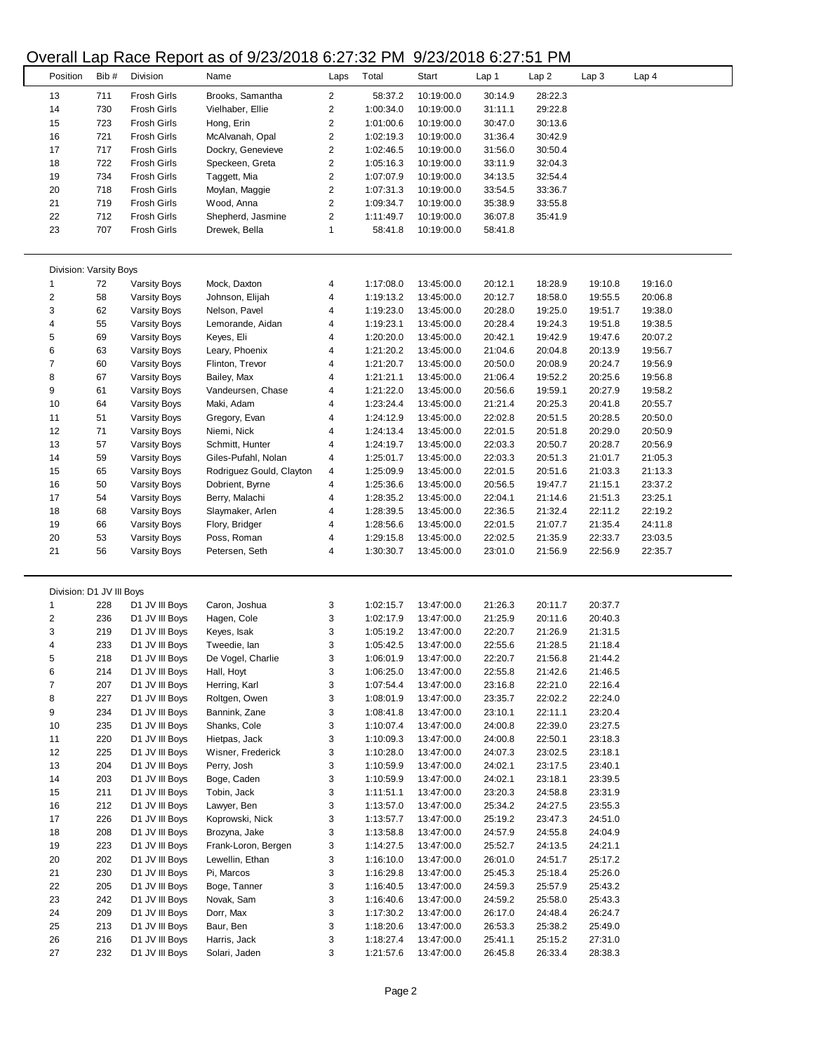## Overall Lap Race Report as of 9/23/2018 6:27:32 PM 9/23/2018 6:27:51 PM

|                          |      |                     | $5.01$ and $1.000$ , $1.000$ , $1.000$ or $0.000$ to $0.001$ . $0.001$ |                         |           | 0, 20, 20 TO 0.2. TO THI |         |         |                  |         |
|--------------------------|------|---------------------|------------------------------------------------------------------------|-------------------------|-----------|--------------------------|---------|---------|------------------|---------|
| Position                 | Bib# | Division            | Name                                                                   | Laps                    | Total     | Start                    | Lap 1   | Lap2    | Lap <sub>3</sub> | Lap 4   |
| 13                       | 711  | <b>Frosh Girls</b>  | Brooks, Samantha                                                       | $\overline{2}$          | 58:37.2   | 10:19:00.0               | 30:14.9 | 28:22.3 |                  |         |
| 14                       | 730  | Frosh Girls         | Vielhaber, Ellie                                                       | 2                       | 1:00:34.0 | 10:19:00.0               | 31:11.1 | 29:22.8 |                  |         |
| 15                       | 723  | <b>Frosh Girls</b>  | Hong, Erin                                                             | $\overline{\mathbf{c}}$ | 1:01:00.6 | 10:19:00.0               | 30:47.0 | 30:13.6 |                  |         |
| 16                       | 721  | <b>Frosh Girls</b>  | McAlvanah, Opal                                                        | $\overline{\mathbf{c}}$ | 1:02:19.3 | 10:19:00.0               | 31:36.4 | 30:42.9 |                  |         |
| 17                       | 717  | <b>Frosh Girls</b>  | Dockry, Genevieve                                                      | 2                       | 1:02:46.5 | 10:19:00.0               | 31:56.0 | 30:50.4 |                  |         |
| 18                       | 722  | <b>Frosh Girls</b>  | Speckeen, Greta                                                        | $\overline{\mathbf{c}}$ | 1:05:16.3 | 10:19:00.0               | 33:11.9 | 32:04.3 |                  |         |
| 19                       | 734  | <b>Frosh Girls</b>  | Taggett, Mia                                                           | $\overline{\mathbf{c}}$ | 1:07:07.9 | 10:19:00.0               | 34:13.5 | 32:54.4 |                  |         |
|                          |      |                     |                                                                        |                         |           |                          |         |         |                  |         |
| 20                       | 718  | <b>Frosh Girls</b>  | Moylan, Maggie                                                         | 2                       | 1:07:31.3 | 10:19:00.0               | 33:54.5 | 33:36.7 |                  |         |
| 21                       | 719  | <b>Frosh Girls</b>  | Wood, Anna                                                             | $\overline{\mathbf{c}}$ | 1:09:34.7 | 10:19:00.0               | 35:38.9 | 33:55.8 |                  |         |
| 22                       | 712  | <b>Frosh Girls</b>  | Shepherd, Jasmine                                                      | $\overline{\mathbf{c}}$ | 1:11:49.7 | 10:19:00.0               | 36:07.8 | 35:41.9 |                  |         |
| 23                       | 707  | <b>Frosh Girls</b>  | Drewek, Bella                                                          | 1                       | 58:41.8   | 10:19:00.0               | 58:41.8 |         |                  |         |
|                          |      |                     |                                                                        |                         |           |                          |         |         |                  |         |
| Division: Varsity Boys   |      |                     |                                                                        |                         |           |                          |         |         |                  |         |
| $\mathbf{1}$             | 72   | <b>Varsity Boys</b> | Mock, Daxton                                                           | 4                       | 1:17:08.0 | 13:45:00.0               | 20:12.1 | 18:28.9 | 19:10.8          | 19:16.0 |
| $\overline{\mathbf{c}}$  | 58   | <b>Varsity Boys</b> | Johnson, Elijah                                                        | 4                       | 1:19:13.2 | 13:45:00.0               | 20:12.7 | 18:58.0 | 19:55.5          | 20:06.8 |
| 3                        | 62   | <b>Varsity Boys</b> | Nelson, Pavel                                                          | 4                       | 1:19:23.0 | 13:45:00.0               | 20:28.0 | 19:25.0 | 19:51.7          | 19:38.0 |
| 4                        | 55   | <b>Varsity Boys</b> | Lemorande, Aidan                                                       | 4                       | 1:19:23.1 | 13:45:00.0               | 20:28.4 | 19:24.3 | 19:51.8          | 19:38.5 |
| 5                        | 69   | <b>Varsity Boys</b> | Keyes, Eli                                                             | 4                       | 1:20:20.0 | 13:45:00.0               | 20:42.1 | 19:42.9 | 19:47.6          | 20:07.2 |
| 6                        | 63   | <b>Varsity Boys</b> | Leary, Phoenix                                                         | 4                       | 1:21:20.2 | 13:45:00.0               | 21:04.6 | 20:04.8 | 20:13.9          | 19:56.7 |
| $\overline{\mathcal{I}}$ | 60   | <b>Varsity Boys</b> | Flinton, Trevor                                                        | 4                       | 1:21:20.7 | 13:45:00.0               | 20:50.0 | 20:08.9 | 20:24.7          | 19:56.9 |
| 8                        | 67   | <b>Varsity Boys</b> | Bailey, Max                                                            | 4                       | 1:21:21.1 | 13:45:00.0               | 21:06.4 | 19:52.2 | 20:25.6          | 19:56.8 |
| 9                        | 61   | <b>Varsity Boys</b> | Vandeursen, Chase                                                      | 4                       | 1:21:22.0 | 13:45:00.0               | 20:56.6 | 19:59.1 | 20:27.9          | 19:58.2 |
| 10                       | 64   |                     | Maki, Adam                                                             |                         | 1:23:24.4 | 13:45:00.0               | 21:21.4 | 20:25.3 | 20:41.8          | 20:55.7 |
|                          |      | <b>Varsity Boys</b> |                                                                        | 4                       |           |                          |         |         |                  |         |
| 11                       | 51   | <b>Varsity Boys</b> | Gregory, Evan                                                          | 4                       | 1:24:12.9 | 13:45:00.0               | 22:02.8 | 20:51.5 | 20:28.5          | 20:50.0 |
| 12                       | 71   | <b>Varsity Boys</b> | Niemi, Nick                                                            | 4                       | 1:24:13.4 | 13:45:00.0               | 22:01.5 | 20:51.8 | 20:29.0          | 20:50.9 |
| 13                       | 57   | <b>Varsity Boys</b> | Schmitt, Hunter                                                        | 4                       | 1:24:19.7 | 13:45:00.0               | 22:03.3 | 20:50.7 | 20:28.7          | 20:56.9 |
| 14                       | 59   | <b>Varsity Boys</b> | Giles-Pufahl, Nolan                                                    | 4                       | 1:25:01.7 | 13:45:00.0               | 22:03.3 | 20:51.3 | 21:01.7          | 21:05.3 |
| 15                       | 65   | <b>Varsity Boys</b> | Rodriguez Gould, Clayton                                               | 4                       | 1:25:09.9 | 13:45:00.0               | 22:01.5 | 20:51.6 | 21:03.3          | 21:13.3 |
| 16                       | 50   | <b>Varsity Boys</b> | Dobrient, Byrne                                                        | 4                       | 1:25:36.6 | 13:45:00.0               | 20:56.5 | 19:47.7 | 21:15.1          | 23:37.2 |
| 17                       | 54   | <b>Varsity Boys</b> | Berry, Malachi                                                         | 4                       | 1:28:35.2 | 13:45:00.0               | 22:04.1 | 21:14.6 | 21:51.3          | 23:25.1 |
| 18                       | 68   | <b>Varsity Boys</b> | Slaymaker, Arlen                                                       | 4                       | 1:28:39.5 | 13:45:00.0               | 22:36.5 | 21:32.4 | 22:11.2          | 22:19.2 |
| 19                       | 66   | <b>Varsity Boys</b> | Flory, Bridger                                                         | 4                       | 1:28:56.6 | 13:45:00.0               | 22:01.5 | 21:07.7 | 21:35.4          | 24:11.8 |
| 20                       | 53   | <b>Varsity Boys</b> | Poss, Roman                                                            | 4                       | 1:29:15.8 | 13:45:00.0               | 22:02.5 | 21:35.9 | 22:33.7          | 23:03.5 |
| 21                       | 56   | <b>Varsity Boys</b> | Petersen, Seth                                                         | 4                       | 1:30:30.7 | 13:45:00.0               | 23:01.0 | 21:56.9 | 22:56.9          | 22:35.7 |
|                          |      |                     |                                                                        |                         |           |                          |         |         |                  |         |
| Division: D1 JV III Boys |      |                     |                                                                        |                         |           |                          |         |         |                  |         |
| 1                        | 228  | D1 JV III Boys      | Caron, Joshua                                                          | 3                       | 1:02:15.7 | 13:47:00.0               | 21:26.3 | 20:11.7 | 20:37.7          |         |
| 2                        | 236  | D1 JV III Boys      | Hagen, Cole                                                            | 3                       | 1:02:17.9 | 13:47:00.0               | 21:25.9 | 20:11.6 | 20:40.3          |         |
| 3                        | 219  | D1 JV III Boys      | Keyes, Isak                                                            | 3                       | 1:05:19.2 | 13:47:00.0               | 22:20.7 |         | 21:31.5          |         |
|                          |      |                     |                                                                        |                         |           |                          |         | 21:26.9 |                  |         |
| $\overline{4}$           | 233  | D1 JV III Boys      | Tweedie, lan                                                           | 3                       | 1:05:42.5 | 13:47:00.0               | 22:55.6 | 21:28.5 | 21:18.4          |         |
| 5                        | 218  | D1 JV III Boys      | De Vogel, Charlie                                                      | 3                       | 1:06:01.9 | 13:47:00.0               | 22:20.7 | 21:56.8 | 21:44.2          |         |
| 6                        | 214  | D1 JV III Boys      | Hall, Hoyt                                                             | 3                       | 1:06:25.0 | 13:47:00.0               | 22:55.8 | 21:42.6 | 21:46.5          |         |
| 7                        | 207  | D1 JV III Boys      | Herring, Karl                                                          | 3                       | 1:07:54.4 | 13:47:00.0               | 23:16.8 | 22:21.0 | 22:16.4          |         |
| 8                        | 227  | D1 JV III Boys      | Roltgen, Owen                                                          | 3                       | 1:08:01.9 | 13:47:00.0               | 23:35.7 | 22:02.2 | 22:24.0          |         |
| 9                        | 234  | D1 JV III Boys      | Bannink, Zane                                                          | 3                       | 1:08:41.8 | 13:47:00.0               | 23:10.1 | 22:11.1 | 23:20.4          |         |
| 10                       | 235  | D1 JV III Boys      | Shanks, Cole                                                           | 3                       | 1:10:07.4 | 13:47:00.0               | 24:00.8 | 22:39.0 | 23:27.5          |         |
| 11                       | 220  | D1 JV III Boys      | Hietpas, Jack                                                          | 3                       | 1:10:09.3 | 13:47:00.0               | 24:00.8 | 22:50.1 | 23:18.3          |         |
| 12                       | 225  | D1 JV III Boys      | Wisner, Frederick                                                      | 3                       | 1:10:28.0 | 13:47:00.0               | 24:07.3 | 23:02.5 | 23:18.1          |         |
| 13                       | 204  | D1 JV III Boys      | Perry, Josh                                                            | 3                       | 1:10:59.9 | 13:47:00.0               | 24:02.1 | 23:17.5 | 23:40.1          |         |
| 14                       | 203  | D1 JV III Boys      | Boge, Caden                                                            | 3                       | 1:10:59.9 | 13:47:00.0               | 24:02.1 | 23:18.1 | 23:39.5          |         |
| 15                       | 211  | D1 JV III Boys      | Tobin, Jack                                                            | 3                       | 1:11:51.1 | 13:47:00.0               | 23:20.3 | 24:58.8 | 23:31.9          |         |
| 16                       | 212  | D1 JV III Boys      | Lawyer, Ben                                                            | 3                       | 1:13:57.0 | 13:47:00.0               | 25:34.2 | 24:27.5 | 23:55.3          |         |
| 17                       | 226  | D1 JV III Boys      | Koprowski, Nick                                                        | 3                       | 1:13:57.7 |                          | 25:19.2 | 23:47.3 | 24:51.0          |         |
|                          |      |                     |                                                                        |                         |           | 13:47:00.0               |         |         |                  |         |
| 18                       | 208  | D1 JV III Boys      | Brozyna, Jake                                                          | 3                       | 1:13:58.8 | 13:47:00.0               | 24:57.9 | 24:55.8 | 24:04.9          |         |
| 19                       | 223  | D1 JV III Boys      | Frank-Loron, Bergen                                                    | 3                       | 1:14:27.5 | 13:47:00.0               | 25:52.7 | 24:13.5 | 24:21.1          |         |
| 20                       | 202  | D1 JV III Boys      | Lewellin, Ethan                                                        | 3                       | 1:16:10.0 | 13:47:00.0               | 26:01.0 | 24:51.7 | 25:17.2          |         |
| 21                       | 230  | D1 JV III Boys      | Pi, Marcos                                                             | 3                       | 1:16:29.8 | 13:47:00.0               | 25:45.3 | 25:18.4 | 25:26.0          |         |
| 22                       | 205  | D1 JV III Boys      | Boge, Tanner                                                           | 3                       | 1:16:40.5 | 13:47:00.0               | 24:59.3 | 25:57.9 | 25:43.2          |         |
| 23                       | 242  | D1 JV III Boys      | Novak, Sam                                                             | 3                       | 1:16:40.6 | 13:47:00.0               | 24:59.2 | 25:58.0 | 25:43.3          |         |
| 24                       | 209  | D1 JV III Boys      | Dorr, Max                                                              | 3                       | 1:17:30.2 | 13:47:00.0               | 26:17.0 | 24:48.4 | 26:24.7          |         |
| 25                       | 213  | D1 JV III Boys      | Baur, Ben                                                              | 3                       | 1:18:20.6 | 13:47:00.0               | 26:53.3 | 25:38.2 | 25:49.0          |         |
| 26                       | 216  | D1 JV III Boys      | Harris, Jack                                                           | 3                       | 1:18:27.4 | 13:47:00.0               | 25:41.1 | 25:15.2 | 27:31.0          |         |
| 27                       | 232  | D1 JV III Boys      | Solari, Jaden                                                          | 3                       | 1:21:57.6 | 13:47:00.0               | 26:45.8 | 26:33.4 | 28:38.3          |         |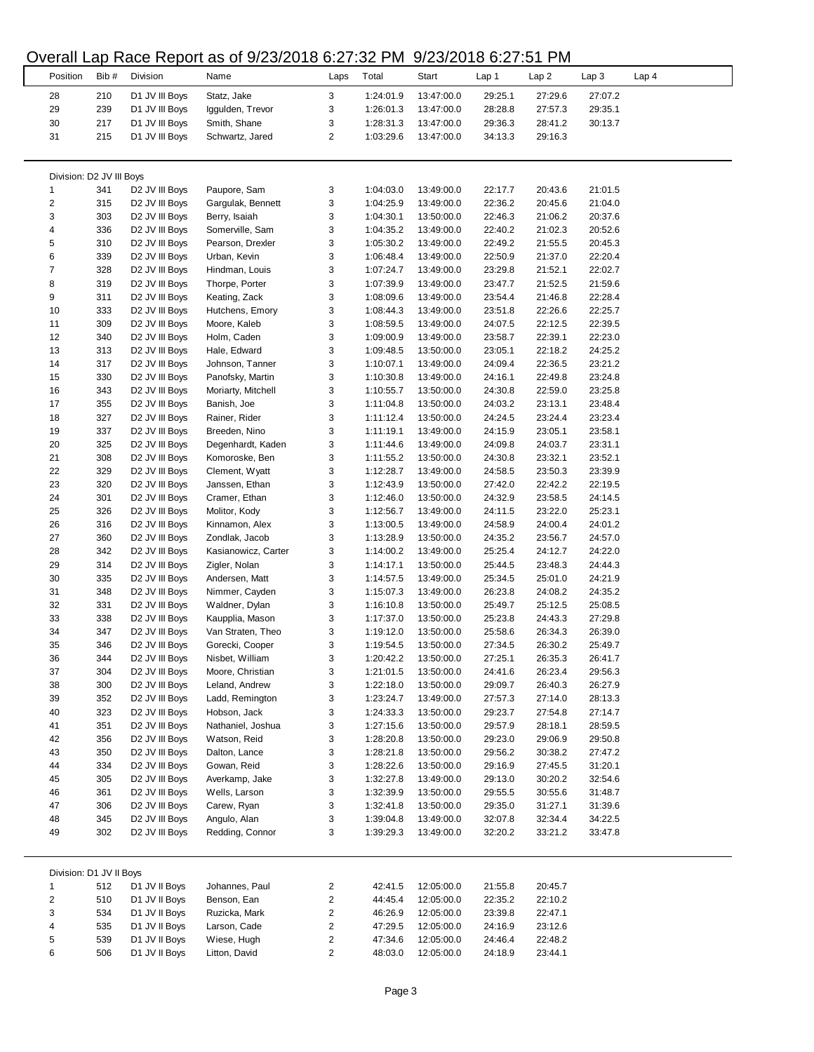### Overall Lap Race Report as of 9/23/2018 6:27:32 PM 9/23/2018 6:27:51 PM

|                          |      |                            | $5.00$ and $1.000$ , $1.000$ , $1.000$ or $0.000$ and $0.000$ . The set of $0.000$ |                |           |            |         |         |                  |       |
|--------------------------|------|----------------------------|------------------------------------------------------------------------------------|----------------|-----------|------------|---------|---------|------------------|-------|
| Position                 | Bib# | Division                   | Name                                                                               | Laps           | Total     | Start      | Lap 1   | Lap2    | Lap <sub>3</sub> | Lap 4 |
|                          |      |                            |                                                                                    |                |           |            |         |         |                  |       |
| 28                       | 210  | D1 JV III Boys             | Statz, Jake                                                                        | 3              | 1:24:01.9 | 13:47:00.0 | 29:25.1 | 27:29.6 | 27:07.2          |       |
| 29                       | 239  | D1 JV III Boys             | Iggulden, Trevor                                                                   | 3              | 1:26:01.3 | 13:47:00.0 | 28:28.8 | 27:57.3 | 29:35.1          |       |
| 30                       | 217  | D1 JV III Boys             | Smith, Shane                                                                       | 3              | 1:28:31.3 | 13:47:00.0 | 29:36.3 | 28:41.2 | 30:13.7          |       |
| 31                       | 215  | D1 JV III Boys             | Schwartz, Jared                                                                    | $\overline{c}$ | 1:03:29.6 | 13:47:00.0 | 34:13.3 | 29:16.3 |                  |       |
|                          |      |                            |                                                                                    |                |           |            |         |         |                  |       |
|                          |      |                            |                                                                                    |                |           |            |         |         |                  |       |
| Division: D2 JV III Boys |      |                            |                                                                                    |                |           |            |         |         |                  |       |
|                          |      |                            |                                                                                    |                |           |            |         |         |                  |       |
| 1                        | 341  | D2 JV III Boys             | Paupore, Sam                                                                       | 3              | 1:04:03.0 | 13:49:00.0 | 22:17.7 | 20:43.6 | 21:01.5          |       |
| $\overline{\mathbf{c}}$  | 315  | D2 JV III Boys             | Gargulak, Bennett                                                                  | 3              | 1:04:25.9 | 13:49:00.0 | 22:36.2 | 20:45.6 | 21:04.0          |       |
| 3                        | 303  | D2 JV III Boys             | Berry, Isaiah                                                                      | 3              | 1:04:30.1 | 13:50:00.0 | 22:46.3 | 21:06.2 | 20:37.6          |       |
| 4                        | 336  | D2 JV III Boys             | Somerville, Sam                                                                    | 3              | 1:04:35.2 | 13:49:00.0 | 22:40.2 | 21:02.3 | 20:52.6          |       |
| 5                        | 310  | D <sub>2</sub> JV III Boys | Pearson, Drexler                                                                   | 3              | 1:05:30.2 | 13:49:00.0 | 22:49.2 | 21:55.5 | 20:45.3          |       |
| 6                        | 339  | D2 JV III Boys             | Urban, Kevin                                                                       | 3              | 1:06:48.4 | 13:49:00.0 | 22:50.9 | 21:37.0 | 22:20.4          |       |
| 7                        | 328  | D <sub>2</sub> JV III Boys | Hindman, Louis                                                                     | 3              | 1:07:24.7 | 13:49:00.0 | 23:29.8 | 21:52.1 | 22:02.7          |       |
| 8                        | 319  | D <sub>2</sub> JV III Boys | Thorpe, Porter                                                                     | 3              | 1:07:39.9 | 13:49:00.0 | 23:47.7 | 21:52.5 | 21:59.6          |       |
|                          |      |                            |                                                                                    |                |           |            |         |         |                  |       |
| 9                        | 311  | D2 JV III Boys             | Keating, Zack                                                                      | 3              | 1:08:09.6 | 13:49:00.0 | 23:54.4 | 21:46.8 | 22:28.4          |       |
| 10                       | 333  | D2 JV III Boys             | Hutchens, Emory                                                                    | 3              | 1:08:44.3 | 13:49:00.0 | 23:51.8 | 22:26.6 | 22:25.7          |       |
| 11                       | 309  | D2 JV III Boys             | Moore, Kaleb                                                                       | 3              | 1:08:59.5 | 13:49:00.0 | 24:07.5 | 22:12.5 | 22:39.5          |       |
| 12                       | 340  | D2 JV III Boys             | Holm, Caden                                                                        | 3              | 1:09:00.9 | 13:49:00.0 | 23:58.7 | 22:39.1 | 22:23.0          |       |
| 13                       | 313  | D <sub>2</sub> JV III Boys | Hale, Edward                                                                       | 3              | 1:09:48.5 | 13:50:00.0 | 23:05.1 | 22:18.2 | 24:25.2          |       |
| 14                       | 317  | D <sub>2</sub> JV III Boys | Johnson, Tanner                                                                    | 3              | 1:10:07.1 | 13:49:00.0 | 24:09.4 | 22:36.5 | 23:21.2          |       |
| 15                       | 330  | D <sub>2</sub> JV III Boys | Panofsky, Martin                                                                   | 3              | 1:10:30.8 | 13:49:00.0 | 24:16.1 | 22:49.8 | 23:24.8          |       |
|                          |      |                            |                                                                                    |                |           |            |         |         |                  |       |
| 16                       | 343  | D <sub>2</sub> JV III Boys | Moriarty, Mitchell                                                                 | 3              | 1:10:55.7 | 13:50:00.0 | 24:30.8 | 22:59.0 | 23:25.8          |       |
| 17                       | 355  | D2 JV III Boys             | Banish, Joe                                                                        | 3              | 1:11:04.8 | 13:50:00.0 | 24:03.2 | 23:13.1 | 23:48.4          |       |
| 18                       | 327  | D2 JV III Boys             | Rainer, Rider                                                                      | 3              | 1:11:12.4 | 13:50:00.0 | 24:24.5 | 23:24.4 | 23:23.4          |       |
| 19                       | 337  | D2 JV III Boys             | Breeden, Nino                                                                      | 3              | 1:11:19.1 | 13:49:00.0 | 24:15.9 | 23:05.1 | 23:58.1          |       |
| 20                       | 325  | D2 JV III Boys             | Degenhardt, Kaden                                                                  | 3              | 1:11:44.6 | 13:49:00.0 | 24:09.8 | 24:03.7 | 23:31.1          |       |
| 21                       | 308  | D <sub>2</sub> JV III Boys | Komoroske, Ben                                                                     | 3              | 1:11:55.2 | 13:50:00.0 | 24:30.8 | 23:32.1 | 23:52.1          |       |
| 22                       | 329  | D <sub>2</sub> JV III Boys | Clement, Wyatt                                                                     | 3              | 1:12:28.7 | 13:49:00.0 | 24:58.5 | 23:50.3 | 23:39.9          |       |
| 23                       |      |                            |                                                                                    |                |           |            |         |         |                  |       |
|                          | 320  | D <sub>2</sub> JV III Boys | Janssen, Ethan                                                                     | 3              | 1:12:43.9 | 13:50:00.0 | 27:42.0 | 22:42.2 | 22:19.5          |       |
| 24                       | 301  | D2 JV III Boys             | Cramer, Ethan                                                                      | 3              | 1:12:46.0 | 13:50:00.0 | 24:32.9 | 23:58.5 | 24:14.5          |       |
| 25                       | 326  | D2 JV III Boys             | Molitor, Kody                                                                      | 3              | 1:12:56.7 | 13:49:00.0 | 24:11.5 | 23:22.0 | 25:23.1          |       |
| 26                       | 316  | D <sub>2</sub> JV III Boys | Kinnamon, Alex                                                                     | 3              | 1:13:00.5 | 13:49:00.0 | 24:58.9 | 24:00.4 | 24:01.2          |       |
| 27                       | 360  | D <sub>2</sub> JV III Boys | Zondlak, Jacob                                                                     | 3              | 1:13:28.9 | 13:50:00.0 | 24:35.2 | 23:56.7 | 24:57.0          |       |
| 28                       | 342  | D2 JV III Boys             | Kasianowicz, Carter                                                                | 3              | 1:14:00.2 | 13:49:00.0 | 25:25.4 | 24:12.7 | 24:22.0          |       |
| 29                       | 314  | D <sub>2</sub> JV III Boys | Zigler, Nolan                                                                      | 3              | 1:14:17.1 | 13:50:00.0 | 25:44.5 | 23:48.3 | 24:44.3          |       |
| 30                       | 335  | D2 JV III Boys             | Andersen, Matt                                                                     | 3              | 1:14:57.5 | 13:49:00.0 | 25:34.5 | 25:01.0 | 24:21.9          |       |
|                          |      |                            |                                                                                    |                |           |            |         |         |                  |       |
| 31                       | 348  | D2 JV III Boys             | Nimmer, Cayden                                                                     | 3              | 1:15:07.3 | 13:49:00.0 | 26:23.8 | 24:08.2 | 24:35.2          |       |
| 32                       | 331  | D <sub>2</sub> JV III Boys | Waldner, Dylan                                                                     | 3              | 1:16:10.8 | 13:50:00.0 | 25:49.7 | 25:12.5 | 25:08.5          |       |
| 33                       | 338  | D <sub>2</sub> JV III Boys | Kaupplia, Mason                                                                    | 3              | 1:17:37.0 | 13:50:00.0 | 25:23.8 | 24:43.3 | 27:29.8          |       |
| 34                       | 347  | D2 JV III Boys             | Van Straten, Theo                                                                  | 3              | 1:19:12.0 | 13:50:00.0 | 25:58.6 | 26:34.3 | 26:39.0          |       |
| 35                       | 346  | D <sub>2</sub> JV III Boys | Gorecki, Cooper                                                                    | 3              | 1:19:54.5 | 13:50:00.0 | 27:34.5 | 26:30.2 | 25:49.7          |       |
| 36                       | 344  | D2 JV III Boys             | Nisbet, William                                                                    | 3              | 1:20:42.2 | 13:50:00.0 | 27:25.1 | 26:35.3 | 26:41.7          |       |
| 37                       | 304  | D2 JV III Boys             | Moore, Christian                                                                   | 3              | 1:21:01.5 | 13:50:00.0 | 24:41.6 | 26:23.4 | 29:56.3          |       |
| 38                       | 300  | D2 JV III Boys             | Leland, Andrew                                                                     | 3              | 1:22:18.0 |            |         | 26:40.3 | 26:27.9          |       |
|                          |      |                            |                                                                                    |                |           | 13:50:00.0 | 29:09.7 |         |                  |       |
| 39                       | 352  | D <sub>2</sub> JV III Boys | Ladd, Remington                                                                    | 3              | 1:23:24.7 | 13:49:00.0 | 27:57.3 | 27:14.0 | 28:13.3          |       |
| 40                       | 323  | D2 JV III Boys             | Hobson, Jack                                                                       | 3              | 1:24:33.3 | 13:50:00.0 | 29:23.7 | 27:54.8 | 27:14.7          |       |
| 41                       | 351  | D2 JV III Boys             | Nathaniel, Joshua                                                                  | 3              | 1:27:15.6 | 13:50:00.0 | 29:57.9 | 28:18.1 | 28:59.5          |       |
| 42                       | 356  | D2 JV III Boys             | Watson, Reid                                                                       | 3              | 1:28:20.8 | 13:50:00.0 | 29:23.0 | 29:06.9 | 29:50.8          |       |
| 43                       | 350  | D2 JV III Boys             | Dalton, Lance                                                                      | 3              | 1:28:21.8 | 13:50:00.0 | 29:56.2 | 30:38.2 | 27:47.2          |       |
| 44                       | 334  | D2 JV III Boys             | Gowan, Reid                                                                        | 3              | 1:28:22.6 | 13:50:00.0 | 29:16.9 | 27:45.5 | 31:20.1          |       |
| 45                       | 305  | D2 JV III Boys             | Averkamp, Jake                                                                     | 3              | 1:32:27.8 | 13:49:00.0 | 29:13.0 | 30:20.2 | 32:54.6          |       |
|                          |      |                            |                                                                                    |                |           |            |         |         |                  |       |
| 46                       | 361  | D <sub>2</sub> JV III Boys | Wells, Larson                                                                      | 3              | 1:32:39.9 | 13:50:00.0 | 29:55.5 | 30:55.6 | 31:48.7          |       |
| 47                       | 306  | D <sub>2</sub> JV III Boys | Carew, Ryan                                                                        | 3              | 1:32:41.8 | 13:50:00.0 | 29:35.0 | 31:27.1 | 31:39.6          |       |
| 48                       | 345  | D2 JV III Boys             | Angulo, Alan                                                                       | 3              | 1:39:04.8 | 13:49:00.0 | 32:07.8 | 32:34.4 | 34:22.5          |       |
| 49                       | 302  | D2 JV III Boys             | Redding, Connor                                                                    | 3              | 1:39:29.3 | 13:49:00.0 | 32:20.2 | 33:21.2 | 33:47.8          |       |
|                          |      |                            |                                                                                    |                |           |            |         |         |                  |       |
| Division: D1 JV II Boys  |      |                            |                                                                                    |                |           |            |         |         |                  |       |
| $\mathbf{1}$             | 512  | D1 JV II Boys              | Johannes, Paul                                                                     | 2              | 42:41.5   | 12:05:00.0 | 21:55.8 | 20:45.7 |                  |       |
|                          |      |                            |                                                                                    |                |           |            |         |         |                  |       |
| 2                        | 510  | D1 JV II Boys              | Benson, Ean                                                                        | 2              | 44:45.4   | 12:05:00.0 | 22:35.2 | 22:10.2 |                  |       |
| 3                        | 534  | D1 JV II Boys              | Ruzicka, Mark                                                                      | 2              | 46:26.9   | 12:05:00.0 | 23:39.8 | 22:47.1 |                  |       |
| 4                        | 535  | D1 JV II Boys              | Larson, Cade                                                                       | 2              | 47:29.5   | 12:05:00.0 | 24:16.9 | 23:12.6 |                  |       |
| 5                        | 539  | D1 JV II Boys              | Wiese, Hugh                                                                        | 2              | 47:34.6   | 12:05:00.0 | 24:46.4 | 22:48.2 |                  |       |
| 6                        | 506  | D1 JV II Boys              | Litton, David                                                                      | $\overline{c}$ | 48:03.0   | 12:05:00.0 | 24:18.9 | 23:44.1 |                  |       |
|                          |      |                            |                                                                                    |                |           |            |         |         |                  |       |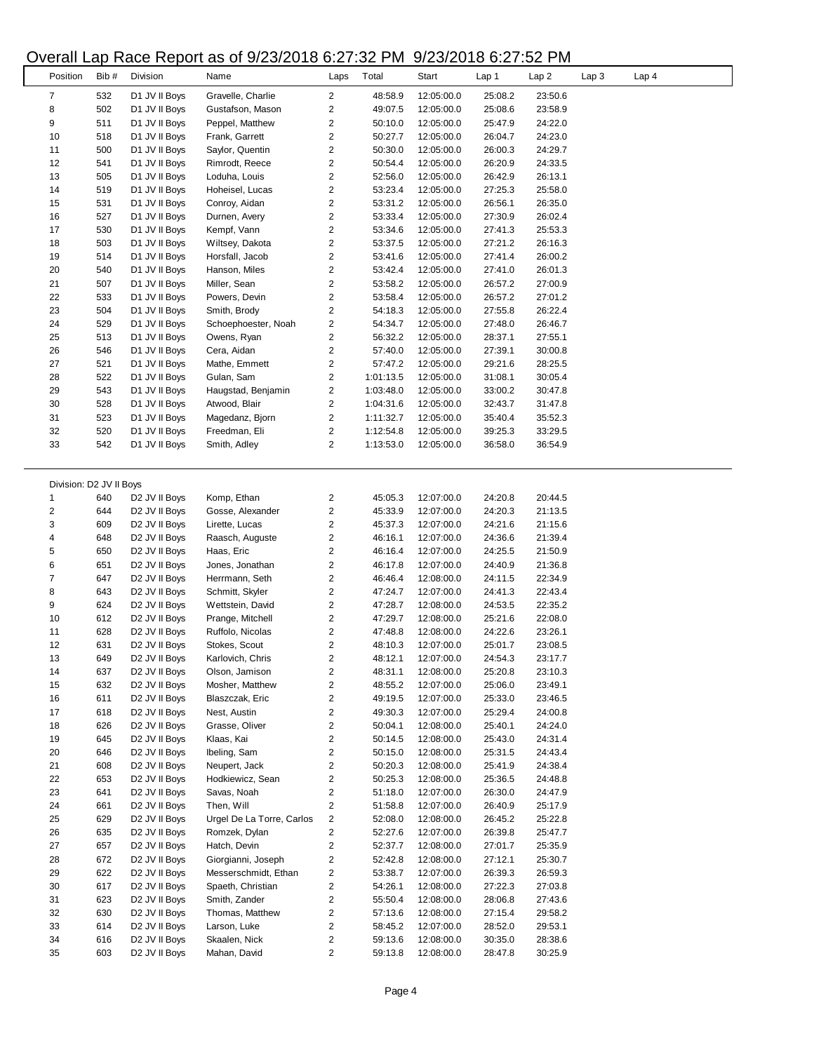#### Overall Lap Race Report as of 9/23/2018 6:27:32 PM 9/23/2018 6:27:52 PM

|                         |       | $\cdots$<br>              | $\frac{1}{2}$ $\frac{1}{2}$ $\frac{1}{2}$ $\frac{1}{2}$ $\frac{1}{2}$ $\frac{1}{2}$ $\frac{1}{2}$ $\frac{1}{2}$ $\frac{1}{2}$ $\frac{1}{2}$ |                         |           |            |         |         |       |                  |  |
|-------------------------|-------|---------------------------|---------------------------------------------------------------------------------------------------------------------------------------------|-------------------------|-----------|------------|---------|---------|-------|------------------|--|
| Position                | Bib # | Division                  | Name                                                                                                                                        | Laps                    | Total     | Start      | Lap 1   | Lap2    | Lap 3 | Lap <sub>4</sub> |  |
|                         |       |                           |                                                                                                                                             |                         |           |            |         |         |       |                  |  |
| 7                       | 532   | D1 JV II Boys             | Gravelle, Charlie                                                                                                                           | 2                       | 48:58.9   | 12:05:00.0 | 25:08.2 | 23:50.6 |       |                  |  |
| 8                       | 502   | D1 JV II Boys             | Gustafson, Mason                                                                                                                            | 2                       | 49:07.5   | 12:05:00.0 | 25:08.6 | 23:58.9 |       |                  |  |
| 9                       | 511   | D1 JV II Boys             | Peppel, Matthew                                                                                                                             | $\overline{\mathbf{c}}$ | 50:10.0   | 12:05:00.0 | 25:47.9 | 24:22.0 |       |                  |  |
| 10                      | 518   | D1 JV II Boys             | Frank, Garrett                                                                                                                              | 2                       | 50:27.7   | 12:05:00.0 | 26:04.7 | 24:23.0 |       |                  |  |
| 11                      | 500   | D1 JV II Boys             | Saylor, Quentin                                                                                                                             | $\overline{\mathbf{c}}$ | 50:30.0   | 12:05:00.0 | 26:00.3 | 24:29.7 |       |                  |  |
| 12                      | 541   | D1 JV II Boys             | Rimrodt, Reece                                                                                                                              | $\overline{\mathbf{c}}$ | 50:54.4   | 12:05:00.0 | 26:20.9 | 24:33.5 |       |                  |  |
| 13                      | 505   | D1 JV II Boys             | Loduha, Louis                                                                                                                               | $\overline{\mathbf{c}}$ | 52:56.0   |            | 26:42.9 | 26:13.1 |       |                  |  |
|                         |       |                           |                                                                                                                                             |                         |           | 12:05:00.0 |         |         |       |                  |  |
| 14                      | 519   | D1 JV II Boys             | Hoheisel, Lucas                                                                                                                             | 2                       | 53:23.4   | 12:05:00.0 | 27:25.3 | 25:58.0 |       |                  |  |
| 15                      | 531   | D1 JV II Boys             | Conroy, Aidan                                                                                                                               | $\overline{\mathbf{c}}$ | 53:31.2   | 12:05:00.0 | 26:56.1 | 26:35.0 |       |                  |  |
| 16                      | 527   | D1 JV II Boys             | Durnen, Avery                                                                                                                               | $\overline{\mathbf{c}}$ | 53:33.4   | 12:05:00.0 | 27:30.9 | 26:02.4 |       |                  |  |
| 17                      | 530   | D1 JV II Boys             | Kempf, Vann                                                                                                                                 | 2                       | 53:34.6   | 12:05:00.0 | 27:41.3 | 25:53.3 |       |                  |  |
| 18                      | 503   | D1 JV II Boys             | Wiltsey, Dakota                                                                                                                             | 2                       | 53:37.5   | 12:05:00.0 | 27:21.2 | 26:16.3 |       |                  |  |
|                         | 514   |                           | Horsfall, Jacob                                                                                                                             |                         | 53:41.6   |            | 27:41.4 | 26:00.2 |       |                  |  |
| 19                      |       | D1 JV II Boys             |                                                                                                                                             | 2                       |           | 12:05:00.0 |         |         |       |                  |  |
| 20                      | 540   | D1 JV II Boys             | Hanson, Miles                                                                                                                               | $\overline{\mathbf{c}}$ | 53:42.4   | 12:05:00.0 | 27:41.0 | 26:01.3 |       |                  |  |
| 21                      | 507   | D1 JV II Boys             | Miller, Sean                                                                                                                                | $\overline{\mathbf{c}}$ | 53:58.2   | 12:05:00.0 | 26:57.2 | 27:00.9 |       |                  |  |
| 22                      | 533   | D1 JV II Boys             | Powers, Devin                                                                                                                               | 2                       | 53:58.4   | 12:05:00.0 | 26:57.2 | 27:01.2 |       |                  |  |
| 23                      | 504   | D1 JV II Boys             | Smith, Brody                                                                                                                                | 2                       | 54:18.3   | 12:05:00.0 | 27:55.8 | 26:22.4 |       |                  |  |
| 24                      | 529   | D1 JV II Boys             | Schoephoester, Noah                                                                                                                         | 2                       | 54:34.7   | 12:05:00.0 | 27:48.0 | 26:46.7 |       |                  |  |
|                         |       |                           |                                                                                                                                             |                         |           |            |         |         |       |                  |  |
| 25                      | 513   | D1 JV II Boys             | Owens, Ryan                                                                                                                                 | 2                       | 56:32.2   | 12:05:00.0 | 28:37.1 | 27:55.1 |       |                  |  |
| 26                      | 546   | D1 JV II Boys             | Cera, Aidan                                                                                                                                 | 2                       | 57:40.0   | 12:05:00.0 | 27:39.1 | 30:00.8 |       |                  |  |
| 27                      | 521   | D1 JV II Boys             | Mathe, Emmett                                                                                                                               | $\overline{\mathbf{c}}$ | 57:47.2   | 12:05:00.0 | 29:21.6 | 28:25.5 |       |                  |  |
| 28                      | 522   | D1 JV II Boys             | Gulan, Sam                                                                                                                                  | $\overline{\mathbf{c}}$ | 1:01:13.5 | 12:05:00.0 | 31:08.1 | 30:05.4 |       |                  |  |
| 29                      | 543   | D1 JV II Boys             | Haugstad, Benjamin                                                                                                                          | $\overline{\mathbf{c}}$ | 1:03:48.0 | 12:05:00.0 | 33:00.2 | 30:47.8 |       |                  |  |
| 30                      | 528   | D1 JV II Boys             | Atwood, Blair                                                                                                                               | $\overline{\mathbf{c}}$ | 1:04:31.6 | 12:05:00.0 | 32:43.7 | 31:47.8 |       |                  |  |
|                         |       |                           |                                                                                                                                             |                         |           |            |         |         |       |                  |  |
| 31                      | 523   | D1 JV II Boys             | Magedanz, Bjorn                                                                                                                             | 2                       | 1:11:32.7 | 12:05:00.0 | 35:40.4 | 35:52.3 |       |                  |  |
| 32                      | 520   | D1 JV II Boys             | Freedman, Eli                                                                                                                               | 2                       | 1:12:54.8 | 12:05:00.0 | 39:25.3 | 33:29.5 |       |                  |  |
| 33                      | 542   | D1 JV II Boys             | Smith, Adley                                                                                                                                | 2                       | 1:13:53.0 | 12:05:00.0 | 36:58.0 | 36:54.9 |       |                  |  |
|                         |       |                           |                                                                                                                                             |                         |           |            |         |         |       |                  |  |
|                         |       |                           |                                                                                                                                             |                         |           |            |         |         |       |                  |  |
| Division: D2 JV II Boys |       |                           |                                                                                                                                             |                         |           |            |         |         |       |                  |  |
|                         |       |                           |                                                                                                                                             |                         |           |            |         |         |       |                  |  |
| 1                       | 640   | D2 JV II Boys             | Komp, Ethan                                                                                                                                 | 2                       | 45:05.3   | 12:07:00.0 | 24:20.8 | 20:44.5 |       |                  |  |
| 2                       | 644   | D <sub>2</sub> JV II Boys | Gosse, Alexander                                                                                                                            | $\overline{\mathbf{c}}$ | 45:33.9   | 12:07:00.0 | 24:20.3 | 21:13.5 |       |                  |  |
| 3                       | 609   | D <sub>2</sub> JV II Boys | Lirette, Lucas                                                                                                                              | 2                       | 45:37.3   | 12:07:00.0 | 24:21.6 | 21:15.6 |       |                  |  |
| 4                       | 648   | D <sub>2</sub> JV II Boys | Raasch, Auguste                                                                                                                             | 2                       | 46:16.1   | 12:07:00.0 | 24:36.6 | 21:39.4 |       |                  |  |
| 5                       | 650   | D <sub>2</sub> JV II Boys | Haas, Eric                                                                                                                                  | 2                       | 46:16.4   | 12:07:00.0 | 24:25.5 | 21:50.9 |       |                  |  |
| 6                       | 651   | D <sub>2</sub> JV II Boys | Jones, Jonathan                                                                                                                             | 2                       | 46:17.8   | 12:07:00.0 | 24:40.9 | 21:36.8 |       |                  |  |
|                         |       |                           |                                                                                                                                             |                         |           |            |         |         |       |                  |  |
| 7                       | 647   | D <sub>2</sub> JV II Boys | Herrmann, Seth                                                                                                                              | 2                       | 46:46.4   | 12:08:00.0 | 24:11.5 | 22:34.9 |       |                  |  |
| 8                       | 643   | D <sub>2</sub> JV II Boys | Schmitt, Skyler                                                                                                                             | $\overline{\mathbf{c}}$ | 47:24.7   | 12:07:00.0 | 24:41.3 | 22:43.4 |       |                  |  |
| 9                       | 624   | D <sub>2</sub> JV II Boys | Wettstein, David                                                                                                                            | 2                       | 47:28.7   | 12:08:00.0 | 24:53.5 | 22:35.2 |       |                  |  |
| 10                      | 612   | D <sub>2</sub> JV II Boys | Prange, Mitchell                                                                                                                            | $\overline{\mathbf{c}}$ | 47:29.7   | 12:08:00.0 | 25:21.6 | 22:08.0 |       |                  |  |
| 11                      | 628   | D2 JV II Boys             | Ruffolo, Nicolas                                                                                                                            | 2                       | 47:48.8   | 12:08:00.0 | 24:22.6 | 23:26.1 |       |                  |  |
| 12                      | 631   |                           |                                                                                                                                             | 2                       | 48:10.3   | 12:07:00.0 | 25:01.7 |         |       |                  |  |
|                         |       | D <sub>2</sub> JV II Boys | Stokes, Scout                                                                                                                               |                         |           |            |         | 23:08.5 |       |                  |  |
| 13                      | 649   | D2 JV II Boys             | Karlovich, Chris                                                                                                                            | 2                       | 48:12.1   | 12:07:00.0 | 24:54.3 | 23:17.7 |       |                  |  |
| 14                      | 637   | D2 JV II Boys             | Olson, Jamison                                                                                                                              | 2                       | 48:31.1   | 12:08:00.0 | 25:20.8 | 23:10.3 |       |                  |  |
| 15                      | 632   | D2 JV II Boys             | Mosher, Matthew                                                                                                                             | 2                       | 48:55.2   | 12:07:00.0 | 25:06.0 | 23:49.1 |       |                  |  |
| 16                      | 611   | D2 JV II Boys             | Blaszczak, Eric                                                                                                                             | 2                       | 49:19.5   | 12:07:00.0 | 25:33.0 | 23:46.5 |       |                  |  |
| 17                      | 618   | D2 JV II Boys             | Nest, Austin                                                                                                                                | 2                       | 49:30.3   | 12:07:00.0 | 25:29.4 | 24:00.8 |       |                  |  |
|                         |       |                           | Grasse, Oliver                                                                                                                              |                         | 50:04.1   | 12:08:00.0 | 25:40.1 |         |       |                  |  |
| 18                      | 626   | D2 JV II Boys             |                                                                                                                                             | 2                       |           |            |         | 24:24.0 |       |                  |  |
| 19                      | 645   | D2 JV II Boys             | Klaas, Kai                                                                                                                                  | $\overline{\mathbf{c}}$ | 50:14.5   | 12:08:00.0 | 25:43.0 | 24:31.4 |       |                  |  |
| 20                      | 646   | D2 JV II Boys             | Ibeling, Sam                                                                                                                                | 2                       | 50:15.0   | 12:08:00.0 | 25:31.5 | 24:43.4 |       |                  |  |
| 21                      | 608   | D <sub>2</sub> JV II Boys | Neupert, Jack                                                                                                                               | 2                       | 50:20.3   | 12:08:00.0 | 25:41.9 | 24:38.4 |       |                  |  |
| 22                      | 653   | D2 JV II Boys             | Hodkiewicz, Sean                                                                                                                            | 2                       | 50:25.3   | 12:08:00.0 | 25:36.5 | 24:48.8 |       |                  |  |
| 23                      | 641   | D <sub>2</sub> JV II Boys | Savas, Noah                                                                                                                                 | 2                       | 51:18.0   | 12:07:00.0 | 26:30.0 | 24:47.9 |       |                  |  |
|                         |       |                           |                                                                                                                                             |                         |           |            |         |         |       |                  |  |
| 24                      | 661   | D2 JV II Boys             | Then, Will                                                                                                                                  | $\overline{\mathbf{c}}$ | 51:58.8   | 12:07:00.0 | 26:40.9 | 25:17.9 |       |                  |  |
| 25                      | 629   | D2 JV II Boys             | Urgel De La Torre, Carlos                                                                                                                   | $\overline{\mathbf{c}}$ | 52:08.0   | 12:08:00.0 | 26:45.2 | 25:22.8 |       |                  |  |
| 26                      | 635   | D2 JV II Boys             | Romzek, Dylan                                                                                                                               | 2                       | 52:27.6   | 12:07:00.0 | 26:39.8 | 25:47.7 |       |                  |  |
| 27                      | 657   | D2 JV II Boys             | Hatch, Devin                                                                                                                                | $\overline{\mathbf{c}}$ | 52:37.7   | 12:08:00.0 | 27:01.7 | 25:35.9 |       |                  |  |
| 28                      | 672   | D2 JV II Boys             | Giorgianni, Joseph                                                                                                                          | 2                       | 52:42.8   | 12:08:00.0 | 27:12.1 | 25:30.7 |       |                  |  |
|                         | 622   |                           | Messerschmidt, Ethan                                                                                                                        | 2                       | 53:38.7   |            | 26:39.3 |         |       |                  |  |
| 29                      |       | D2 JV II Boys             |                                                                                                                                             |                         |           | 12:07:00.0 |         | 26:59.3 |       |                  |  |
| 30                      | 617   | D <sub>2</sub> JV II Boys | Spaeth, Christian                                                                                                                           | 2                       | 54:26.1   | 12:08:00.0 | 27:22.3 | 27:03.8 |       |                  |  |
| 31                      | 623   | D <sub>2</sub> JV II Boys | Smith, Zander                                                                                                                               | 2                       | 55:50.4   | 12:08:00.0 | 28:06.8 | 27:43.6 |       |                  |  |
| 32                      | 630   | D <sub>2</sub> JV II Boys | Thomas, Matthew                                                                                                                             | 2                       | 57:13.6   | 12:08:00.0 | 27:15.4 | 29:58.2 |       |                  |  |
| 33                      | 614   | D2 JV II Boys             | Larson, Luke                                                                                                                                | 2                       | 58:45.2   | 12:07:00.0 | 28:52.0 | 29:53.1 |       |                  |  |
| 34                      | 616   | D2 JV II Boys             | Skaalen, Nick                                                                                                                               | 2                       | 59:13.6   | 12:08:00.0 | 30:35.0 | 28:38.6 |       |                  |  |
| 35                      | 603   |                           |                                                                                                                                             | $\overline{c}$          |           |            |         | 30:25.9 |       |                  |  |
|                         |       | D2 JV II Boys             | Mahan, David                                                                                                                                |                         | 59:13.8   | 12:08:00.0 | 28:47.8 |         |       |                  |  |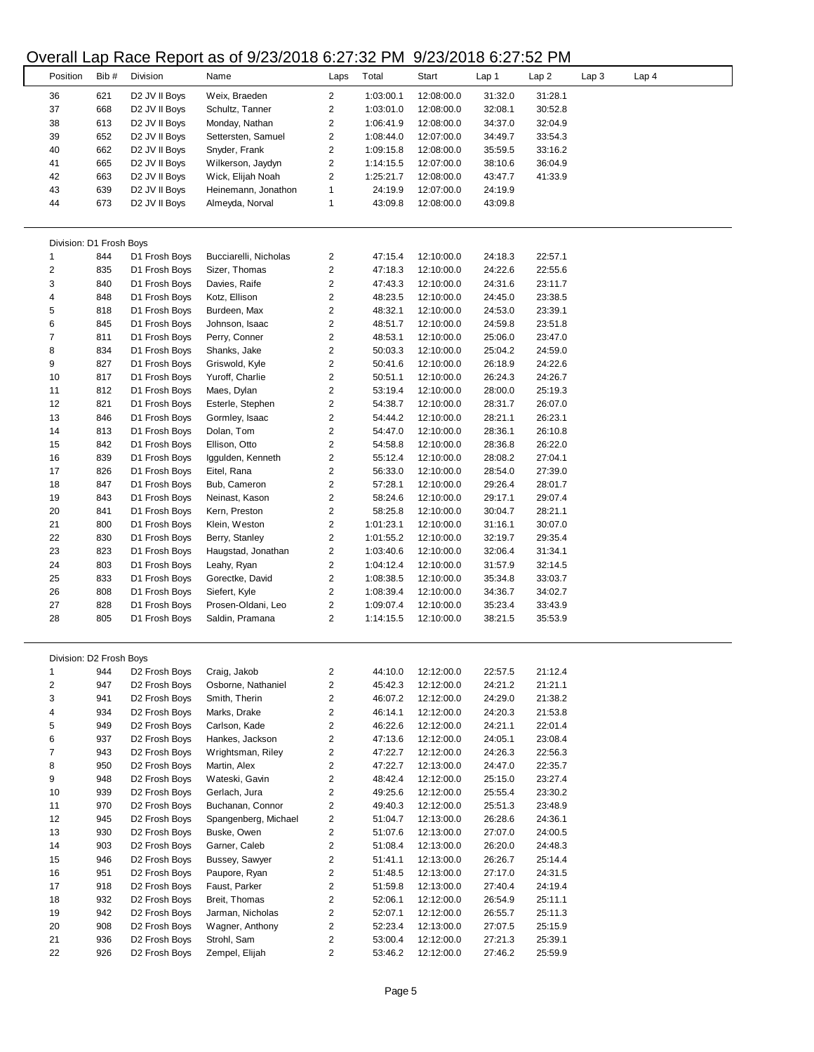# Overall Lap Race Report as of 9/23/2018 6:27:32 PM 9/23/2018 6:27:52 PM

|                         |      |                           | $O$ verall Lap Trace Treport as OF 3/20/20 TO 0.27.02 T MT |                         |           | 3123100021321 |         |                  |                  |       |  |
|-------------------------|------|---------------------------|------------------------------------------------------------|-------------------------|-----------|---------------|---------|------------------|------------------|-------|--|
| Position                | Bib# | Division                  | Name                                                       | Laps                    | Total     | Start         | Lap 1   | Lap <sub>2</sub> | Lap <sub>3</sub> | Lap 4 |  |
|                         |      |                           |                                                            |                         |           |               |         |                  |                  |       |  |
| 36                      | 621  | D <sub>2</sub> JV II Boys | Weix, Braeden                                              | $\overline{2}$          | 1:03:00.1 | 12:08:00.0    | 31:32.0 | 31:28.1          |                  |       |  |
| 37                      | 668  | D <sub>2</sub> JV II Boys | Schultz, Tanner                                            | 2                       | 1:03:01.0 | 12:08:00.0    | 32:08.1 | 30:52.8          |                  |       |  |
| 38                      | 613  | D <sub>2</sub> JV II Boys | Monday, Nathan                                             | 2                       | 1:06:41.9 | 12:08:00.0    | 34:37.0 | 32:04.9          |                  |       |  |
| 39                      | 652  | D <sub>2</sub> JV II Boys | Settersten, Samuel                                         | 2                       | 1:08:44.0 | 12:07:00.0    | 34:49.7 | 33:54.3          |                  |       |  |
| 40                      | 662  | D <sub>2</sub> JV II Boys | Snyder, Frank                                              | 2                       | 1:09:15.8 | 12:08:00.0    | 35:59.5 | 33:16.2          |                  |       |  |
| 41                      | 665  | D2 JV II Boys             | Wilkerson, Jaydyn                                          | 2                       | 1:14:15.5 | 12:07:00.0    | 38:10.6 | 36:04.9          |                  |       |  |
| 42                      | 663  | D2 JV II Boys             | Wick, Elijah Noah                                          | 2                       | 1:25:21.7 | 12:08:00.0    | 43:47.7 | 41:33.9          |                  |       |  |
| 43                      | 639  | D2 JV II Boys             | Heinemann, Jonathon                                        | 1                       | 24:19.9   | 12:07:00.0    | 24:19.9 |                  |                  |       |  |
| 44                      | 673  | D <sub>2</sub> JV II Boys | Almeyda, Norval                                            | 1                       | 43:09.8   | 12:08:00.0    | 43:09.8 |                  |                  |       |  |
|                         |      |                           |                                                            |                         |           |               |         |                  |                  |       |  |
|                         |      |                           |                                                            |                         |           |               |         |                  |                  |       |  |
| Division: D1 Frosh Boys |      |                           |                                                            |                         |           |               |         |                  |                  |       |  |
| $\mathbf{1}$            | 844  | D1 Frosh Boys             | Bucciarelli, Nicholas                                      | 2                       | 47:15.4   | 12:10:00.0    | 24:18.3 | 22:57.1          |                  |       |  |
| $\overline{2}$          | 835  | D1 Frosh Boys             | Sizer, Thomas                                              | 2                       | 47:18.3   | 12:10:00.0    | 24:22.6 | 22:55.6          |                  |       |  |
| 3                       | 840  |                           | Davies, Raife                                              | 2                       | 47:43.3   |               |         |                  |                  |       |  |
|                         |      | D1 Frosh Boys             |                                                            |                         |           | 12:10:00.0    | 24:31.6 | 23:11.7          |                  |       |  |
| 4                       | 848  | D1 Frosh Boys             | Kotz, Ellison                                              | 2                       | 48:23.5   | 12:10:00.0    | 24:45.0 | 23:38.5          |                  |       |  |
| 5                       | 818  | D1 Frosh Boys             | Burdeen, Max                                               | 2                       | 48:32.1   | 12:10:00.0    | 24:53.0 | 23:39.1          |                  |       |  |
| 6                       | 845  | D1 Frosh Boys             | Johnson, Isaac                                             | 2                       | 48:51.7   | 12:10:00.0    | 24:59.8 | 23:51.8          |                  |       |  |
| $\boldsymbol{7}$        | 811  | D1 Frosh Boys             | Perry, Conner                                              | $\overline{\mathbf{c}}$ | 48:53.1   | 12:10:00.0    | 25:06.0 | 23:47.0          |                  |       |  |
| 8                       | 834  | D1 Frosh Boys             | Shanks, Jake                                               | 2                       | 50:03.3   | 12:10:00.0    | 25:04.2 | 24:59.0          |                  |       |  |
| 9                       | 827  | D1 Frosh Boys             | Griswold, Kyle                                             | 2                       | 50:41.6   | 12:10:00.0    | 26:18.9 | 24:22.6          |                  |       |  |
| 10                      | 817  | D1 Frosh Boys             | Yuroff, Charlie                                            | $\overline{\mathbf{c}}$ | 50:51.1   | 12:10:00.0    | 26:24.3 | 24:26.7          |                  |       |  |
| 11                      | 812  | D1 Frosh Boys             | Maes, Dylan                                                | $\overline{c}$          | 53:19.4   | 12:10:00.0    | 28:00.0 | 25:19.3          |                  |       |  |
| 12                      | 821  | D1 Frosh Boys             | Esterle, Stephen                                           | 2                       | 54:38.7   | 12:10:00.0    | 28:31.7 | 26:07.0          |                  |       |  |
| 13                      | 846  | D1 Frosh Boys             | Gormley, Isaac                                             | 2                       | 54:44.2   | 12:10:00.0    | 28:21.1 | 26:23.1          |                  |       |  |
| 14                      | 813  | D1 Frosh Boys             | Dolan, Tom                                                 | $\overline{\mathbf{c}}$ | 54:47.0   | 12:10:00.0    | 28:36.1 | 26:10.8          |                  |       |  |
| 15                      | 842  | D1 Frosh Boys             | Ellison, Otto                                              | 2                       | 54:58.8   | 12:10:00.0    | 28:36.8 | 26:22.0          |                  |       |  |
|                         |      |                           |                                                            |                         |           |               |         |                  |                  |       |  |
| 16                      | 839  | D1 Frosh Boys             | Iggulden, Kenneth                                          | 2                       | 55:12.4   | 12:10:00.0    | 28:08.2 | 27:04.1          |                  |       |  |
| 17                      | 826  | D1 Frosh Boys             | Eitel, Rana                                                | 2                       | 56:33.0   | 12:10:00.0    | 28:54.0 | 27:39.0          |                  |       |  |
| 18                      | 847  | D1 Frosh Boys             | Bub, Cameron                                               | 2                       | 57:28.1   | 12:10:00.0    | 29:26.4 | 28:01.7          |                  |       |  |
| 19                      | 843  | D1 Frosh Boys             | Neinast, Kason                                             | 2                       | 58:24.6   | 12:10:00.0    | 29:17.1 | 29:07.4          |                  |       |  |
| 20                      | 841  | D1 Frosh Boys             | Kern, Preston                                              | 2                       | 58:25.8   | 12:10:00.0    | 30:04.7 | 28:21.1          |                  |       |  |
| 21                      | 800  | D1 Frosh Boys             | Klein, Weston                                              | $\overline{\mathbf{c}}$ | 1:01:23.1 | 12:10:00.0    | 31:16.1 | 30:07.0          |                  |       |  |
| 22                      | 830  | D1 Frosh Boys             | Berry, Stanley                                             | 2                       | 1:01:55.2 | 12:10:00.0    | 32:19.7 | 29:35.4          |                  |       |  |
| 23                      | 823  | D1 Frosh Boys             | Haugstad, Jonathan                                         | 2                       | 1:03:40.6 | 12:10:00.0    | 32:06.4 | 31:34.1          |                  |       |  |
| 24                      | 803  | D1 Frosh Boys             | Leahy, Ryan                                                | 2                       | 1:04:12.4 | 12:10:00.0    | 31:57.9 | 32:14.5          |                  |       |  |
| 25                      | 833  | D1 Frosh Boys             | Gorectke, David                                            | 2                       | 1:08:38.5 | 12:10:00.0    | 35:34.8 | 33:03.7          |                  |       |  |
| 26                      | 808  | D1 Frosh Boys             | Siefert, Kyle                                              | 2                       | 1:08:39.4 | 12:10:00.0    | 34:36.7 | 34:02.7          |                  |       |  |
| 27                      | 828  | D1 Frosh Boys             | Prosen-Oldani, Leo                                         | 2                       | 1:09:07.4 | 12:10:00.0    | 35:23.4 | 33:43.9          |                  |       |  |
|                         |      |                           |                                                            |                         |           |               |         |                  |                  |       |  |
| 28                      | 805  | D1 Frosh Boys             | Saldin, Pramana                                            | 2                       | 1:14:15.5 | 12:10:00.0    | 38:21.5 | 35:53.9          |                  |       |  |
|                         |      |                           |                                                            |                         |           |               |         |                  |                  |       |  |
|                         |      |                           |                                                            |                         |           |               |         |                  |                  |       |  |
| Division: D2 Frosh Boys |      |                           |                                                            |                         |           |               |         |                  |                  |       |  |
| $\mathbf{1}$            | 944  | D <sub>2</sub> Frosh Boys | Craig, Jakob                                               | 2                       | 44:10.0   | 12:12:00.0    | 22:57.5 | 21:12.4          |                  |       |  |
| $\overline{\mathbf{c}}$ | 947  | D <sub>2</sub> Frosh Boys | Osborne, Nathaniel                                         | $\overline{\mathbf{c}}$ | 45:42.3   | 12:12:00.0    | 24:21.2 | 21:21.1          |                  |       |  |
| 3                       | 941  | D <sub>2</sub> Frosh Boys | Smith, Therin                                              | 2                       | 46:07.2   | 12:12:00.0    | 24:29.0 | 21:38.2          |                  |       |  |
| 4                       | 934  | D <sub>2</sub> Frosh Boys | Marks, Drake                                               | $\overline{\mathbf{c}}$ | 46:14.1   | 12:12:00.0    | 24:20.3 | 21:53.8          |                  |       |  |
| 5                       | 949  | D2 Frosh Boys             | Carlson, Kade                                              | 2                       | 46:22.6   | 12:12:00.0    | 24:21.1 | 22:01.4          |                  |       |  |
| 6                       | 937  | D <sub>2</sub> Frosh Boys | Hankes, Jackson                                            | 2                       | 47:13.6   | 12:12:00.0    | 24:05.1 | 23:08.4          |                  |       |  |
| $\overline{7}$          | 943  | D2 Frosh Boys             | Wrightsman, Riley                                          | 2                       | 47:22.7   | 12:12:00.0    | 24:26.3 | 22:56.3          |                  |       |  |
| 8                       | 950  | D <sub>2</sub> Frosh Boys | Martin, Alex                                               | 2                       | 47:22.7   | 12:13:00.0    | 24:47.0 | 22:35.7          |                  |       |  |
| 9                       | 948  | D2 Frosh Boys             | Wateski, Gavin                                             | 2                       | 48:42.4   | 12:12:00.0    | 25:15.0 | 23:27.4          |                  |       |  |
| 10                      | 939  | D2 Frosh Boys             | Gerlach, Jura                                              | 2                       | 49:25.6   | 12:12:00.0    | 25:55.4 | 23:30.2          |                  |       |  |
|                         |      |                           |                                                            |                         |           |               |         |                  |                  |       |  |
| 11                      | 970  | D <sub>2</sub> Frosh Boys | Buchanan, Connor                                           | $\overline{\mathbf{c}}$ | 49:40.3   | 12:12:00.0    | 25:51.3 | 23:48.9          |                  |       |  |
| 12                      | 945  | D <sub>2</sub> Frosh Boys | Spangenberg, Michael                                       | 2                       | 51:04.7   | 12:13:00.0    | 26:28.6 | 24:36.1          |                  |       |  |
| 13                      | 930  | D <sub>2</sub> Frosh Boys | Buske, Owen                                                | 2                       | 51:07.6   | 12:13:00.0    | 27:07.0 | 24:00.5          |                  |       |  |
| 14                      | 903  | D2 Frosh Boys             | Garner, Caleb                                              | $\overline{\mathbf{c}}$ | 51:08.4   | 12:13:00.0    | 26:20.0 | 24:48.3          |                  |       |  |
| 15                      | 946  | D <sub>2</sub> Frosh Boys | Bussey, Sawyer                                             | 2                       | 51:41.1   | 12:13:00.0    | 26:26.7 | 25:14.4          |                  |       |  |
| 16                      | 951  | D <sub>2</sub> Frosh Boys | Paupore, Ryan                                              | $\overline{\mathbf{c}}$ | 51:48.5   | 12:13:00.0    | 27:17.0 | 24:31.5          |                  |       |  |
| 17                      | 918  | D <sub>2</sub> Frosh Boys | Faust, Parker                                              | 2                       | 51:59.8   | 12:13:00.0    | 27:40.4 | 24:19.4          |                  |       |  |
| 18                      | 932  | D <sub>2</sub> Frosh Boys | Breit, Thomas                                              | 2                       | 52:06.1   | 12:12:00.0    | 26:54.9 | 25:11.1          |                  |       |  |
| 19                      | 942  | D <sub>2</sub> Frosh Boys | Jarman, Nicholas                                           | 2                       | 52:07.1   | 12:12:00.0    | 26:55.7 | 25:11.3          |                  |       |  |
| 20                      | 908  | D <sub>2</sub> Frosh Boys | Wagner, Anthony                                            | 2                       | 52:23.4   | 12:13:00.0    | 27:07.5 | 25:15.9          |                  |       |  |
| 21                      | 936  | D <sub>2</sub> Frosh Boys | Strohl, Sam                                                | 2                       | 53:00.4   | 12:12:00.0    | 27:21.3 | 25:39.1          |                  |       |  |
| 22                      | 926  |                           |                                                            | 2                       |           |               |         |                  |                  |       |  |
|                         |      | D2 Frosh Boys             | Zempel, Elijah                                             |                         | 53:46.2   | 12:12:00.0    | 27:46.2 | 25:59.9          |                  |       |  |